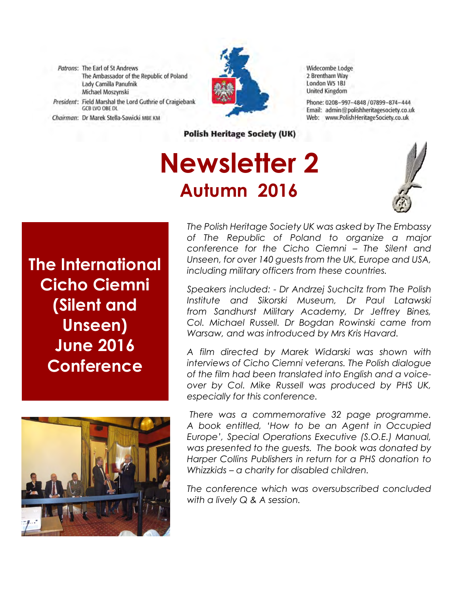Patrons: The Earl of St Andrews The Ambassador of the Republic of Poland Lady Camilla Panufnik Michael Moszynski President: Field Marshal the Lord Guthrie of Craigiebank GCB LVO OBE DL

Chairman: Dr Marek Stella-Sawicki MBE KM



Widecombe Lodge 2 Brentham Way London W5 1BJ **United Kingdom** 

Phone: 0208-997-4848 / 07899-874-444 Email: admin@polishheritagesociety.co.uk Web: www.PolishHeritageSociety.co.uk

**Polish Heritage Society (UK)** 

# **Newsletter 2 Autumn 2016**



**The International Cicho Ciemni (Silent and Unseen) June 2016 Conference**



*The Polish Heritage Society UK was asked by The Embassy of The Republic of Poland to organize a major conference for the Cicho Ciemni – The Silent and Unseen, for over 140 guests from the UK, Europe and USA, including military officers from these countries.*

*Speakers included: - Dr Andrzej Suchcitz from The Polish Institute and Sikorski Museum, Dr Paul Latawski from Sandhurst Military Academy, Dr Jeffrey Bines, Col. Michael Russell. Dr Bogdan Rowinski came from Warsaw, and was introduced by Mrs Kris Havard.*

*A film directed by Marek Widarski was shown with interviews of Cicho Ciemni veterans. The Polish dialogue of the film had been translated into English and a voiceover by Col. Mike Russell was produced by PHS UK, especially for this conference.*

*There was a commemorative 32 page programme. A book entitled, 'How to be an Agent in Occupied Europe', Special Operations Executive (S.O.E.) Manual, was presented to the guests. The book was donated by Harper Collins Publishers in return for a PHS donation to Whizzkids – a charity for disabled children.* 

*The conference which was oversubscribed concluded with a lively Q & A session.*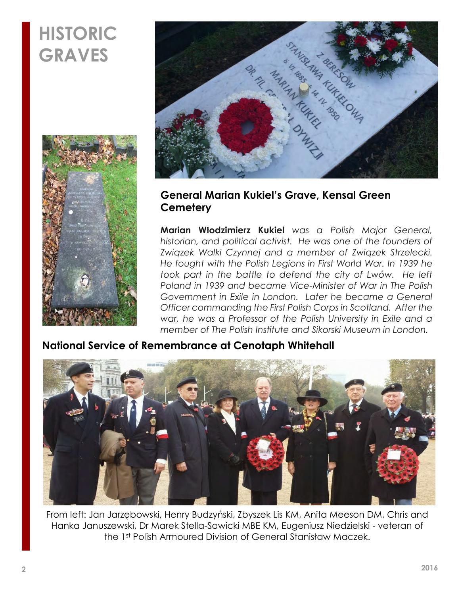## **HISTORIC GRAVES**





### **General Marian Kukiel's Grave, Kensal Green Cemetery**

**Marian Włodzimierz Kukiel** *was a Polish Major General, historian, and political activist. He was one of the founders of Związek Walki Czynnej and a member of Związek Strzelecki. He fought with the Polish Legions in First World War. In 1939 he took part in the battle to defend the city of Lwów. He left Poland in 1939 and became Vice-Minister of War in The Polish Government in Exile in London. Later he became a General Officer commanding the First Polish Corps in Scotland. After the war, he was a Professor of the Polish University in Exile and a member of The Polish Institute and Sikorski Museum in London.*

### **National Service of Remembrance at Cenotaph Whitehall**



From left: Jan Jarzębowski, Henry Budzyński, Zbyszek Lis KM, Anita Meeson DM, Chris and Hanka Januszewski, Dr Marek Stella-Sawicki MBE KM, Eugeniusz Niedzielski - veteran of the 1st Polish Armoured Division of General Stanisław Maczek.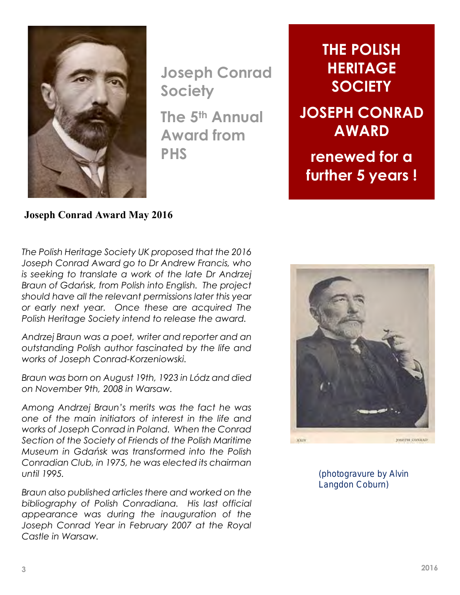

**Joseph Conrad Society** 

**The 5th Annual Award from PHS**

**THE POLISH HERITAGE SOCIETY**

### **JOSEPH CONRAD AWARD**

**renewed for a further 5 years !**

#### **Joseph Conrad Award May 2016**

*The Polish Heritage Society UK proposed that the 2016 Joseph Conrad Award go to Dr Andrew Francis, who is seeking to translate a work of the late Dr Andrzej Braun of Gdańsk, from Polish into English. The project should have all the relevant permissions later this year or early next year. Once these are acquired The Polish Heritage Society intend to release the award.*

*Andrzej Braun was a poet, writer and reporter and an outstanding Polish author fascinated by the life and works of Joseph Conrad-Korzeniowski.*

*Braun was born on August 19th, 1923 in Lódz and died on November 9th, 2008 in Warsaw.*

*Among Andrzej Braun's merits was the fact he was one of the main initiators of interest in the life and works of Joseph Conrad in Poland. When the Conrad Section of the Society of Friends of the Polish Maritime Museum in Gdańsk was transformed into the Polish Conradian Club, in 1975, he was elected its chairman until 1995.* 

*Braun also published articles there and worked on the bibliography of Polish Conradiana. His last official appearance was during the inauguration of the Joseph Conrad Year in February 2007 at the Royal Castle in Warsaw.*



**[\(photogravure](https://en.wikipedia.org/wiki/Photogravure) by [Alvin](https://en.wikipedia.org/wiki/Alvin_Langdon_Coburn)  [Langdon Coburn\)](https://en.wikipedia.org/wiki/Alvin_Langdon_Coburn)**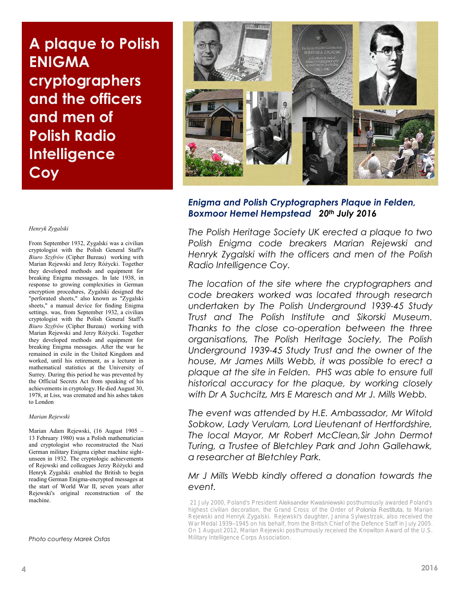## **A plaque to Polish ENIGMA cryptographers and the officers and men of Polish Radio Intelligence Coy**



#### *Enigma and Polish Cryptographers Plaque in Felden, Boxmoor Hemel Hempstead 20th July 2016*

*The Polish Heritage Society UK erected a plaque to two Polish Enigma code breakers Marian Rejewski and Henryk Zygalski with the officers and men of the Polish Radio Intelligence Coy.*

*The location of the site where the cryptographers and code breakers worked was located through research undertaken by The Polish Underground 1939-45 Study Trust and The Polish Institute and Sikorski Museum. Thanks to the close co-operation between the three organisations, The Polish Heritage Society, The Polish Underground 1939-45 Study Trust and the owner of the house, Mr James Mills Webb, it was possible to erect a plaque at the site in Felden. PHS was able to ensure full historical accuracy for the plaque, by working closely with Dr A Suchcitz, Mrs E Maresch and Mr J. Mills Webb.* 

*The event was attended by H.E. Ambassador, Mr Witold Sobkow, Lady Verulam, Lord Lieutenant of Hertfordshire, The local Mayor, Mr Robert McClean,Sir John Dermot Turing, a Trustee of Bletchley Park and John Gallehawk, a researcher at Bletchley Park.* 

#### *Mr J Mills Webb kindly offered a donation towards the event.*

**21 July 2000, Poland's President [Aleksander Kwaśniewski](https://en.wikipedia.org/wiki/Aleksander_Kwa%C5%9Bniewski) posthumously awarded Poland's highest civilian decoration, the [Grand Cross of the Order of](https://en.wikipedia.org/wiki/Order_of_Polonia_Restituta#Classes)** *Polonia Restituta***, to Marian Rejewski and Henryk Zygalski. Rejewski's daughter, Janina Sylwestrzak, also received the [War Medal 1939–1945](https://en.wikipedia.org/wiki/War_Medal_1939%E2%80%931945) on his behalf, from th[e British Chief of the Defence Staff](https://en.wikipedia.org/wiki/British_Chief_of_the_Defence_Staff) in July 2005. On 1 August 2012, Marian Rejewski posthumously received the [Knowlton Award](https://en.wikipedia.org/wiki/Thomas_Knowlton#Knowlton_Award) of the U.S. [Military Intelligence Corps Association.](https://en.wikipedia.org/w/index.php?title=Military_Intelligence_Corps_Association&action=edit&redlink=1)**

#### *Henryk Zygalski*

**From September 1932, Zygalski was a civilian [cryptologist](http://www.wikiwand.com/en/Cryptology) with the [Polish](http://www.wikiwand.com/en/Poland) [General Staff's](http://www.wikiwand.com/en/General_Staff)**  *[Biuro Szyfrów](http://www.wikiwand.com/en/Biuro_Szyfr%C3%B3w)* **(Cipher Bureau) working with [Marian Rejewski](http://www.wikiwand.com/en/Marian_Rejewski) and Jerzy [Różycki](http://www.wikiwand.com/en/Jerzy_R%C3%B3%C5%BCycki). Together they developed methods and equipment for breaking Enigma messages. In late 1938, in response to growing complexities in German encryption procedures, Zygalski designed the ["perforated sheets,"](http://www.wikiwand.com/en/Zygalski_sheets) also known as ["Zygalski](http://www.wikiwand.com/en/Zygalski_sheets)  [sheets,](http://www.wikiwand.com/en/Zygalski_sheets)" a manual device for finding Enigma settings. was, from September 1932, a civilian [cryptologist](http://www.wikiwand.com/en/Cryptology) with the [Polish](http://www.wikiwand.com/en/Poland) [General Staff's](http://www.wikiwand.com/en/General_Staff)**  *[Biuro Szyfrów](http://www.wikiwand.com/en/Biuro_Szyfr%C3%B3w)* **(Cipher Bureau) working with [Marian Rejewski](http://www.wikiwand.com/en/Marian_Rejewski) and [Jerzy Różycki](http://www.wikiwand.com/en/Jerzy_R%C3%B3%C5%BCycki). Together they developed methods and equipment for breaking Enigma messages. After the war he remained in exile in the [United Kingdom](http://www.wikiwand.com/en/United_Kingdom) and worked, until his retirement, as a lecturer in mathematical statistics at the [University of](http://www.wikiwand.com/en/University_of_Surrey)  [Surrey.](http://www.wikiwand.com/en/University_of_Surrey) During this period he was prevented by the [Official Secrets Act](http://www.wikiwand.com/en/Official_Secrets_Act) from speaking of his achievements i[n cryptology.](http://www.wikiwand.com/en/Cryptology) He died August 30, 1978, a[t Liss,](http://www.wikiwand.com/en/Liss) was cremated and his ashes taken t[o London](http://www.wikiwand.com/en/London)**

#### *Marian Rejewski*

**Marian Adam Rejewski, (16 August 1905 – 13 February 1980) was a Polish mathematician and cryptologist who reconstructed the Nazi German military Enigma cipher machine sightunseen in 1932. The cryptologic achievements of Rejewski and colleagues Jerzy Różycki and Henryk Zygalski enabled the British to begin reading German Enigma-encrypted messages at the start of World War II, seven years after Rejewski's original reconstruction of the machine.**

*Photo courtesy Marek Ostas*